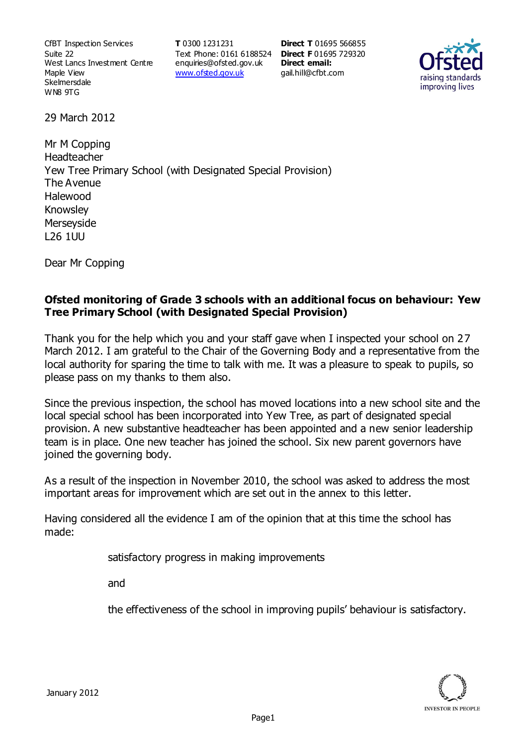CfBT Inspection Services Suite 22 West Lancs Investment Centre Maple View **Skelmersdale** WN8 9TG

**T** 0300 1231231 Text Phone: 0161 6188524 **Direct F** 01695 729320 enquiries@ofsted.gov.uk www.ofsted.gov.uk

**Direct T** 01695 566855 **Direct email:**  gail.hill@cfbt.com



29 March 2012

Mr M Copping Headteacher Yew Tree Primary School (with Designated Special Provision) The Avenue Halewood Knowsley **Merseyside** L26 1UU

Dear Mr Copping

#### **Ofsted monitoring of Grade 3 schools with an additional focus on behaviour: Yew Tree Primary School (with Designated Special Provision)**

Thank you for the help which you and your staff gave when I inspected your school on 27 March 2012. I am grateful to the Chair of the Governing Body and a representative from the local authority for sparing the time to talk with me. It was a pleasure to speak to pupils, so please pass on my thanks to them also.

Since the previous inspection, the school has moved locations into a new school site and the local special school has been incorporated into Yew Tree, as part of designated special provision. A new substantive headteacher has been appointed and a new senior leadership team is in place. One new teacher has joined the school. Six new parent governors have joined the governing body.

As a result of the inspection in November 2010, the school was asked to address the most important areas for improvement which are set out in the annex to this letter.

Having considered all the evidence I am of the opinion that at this time the school has made:

satisfactory progress in making improvements

and

the effectiveness of the school in improving pupils' behaviour is satisfactory.

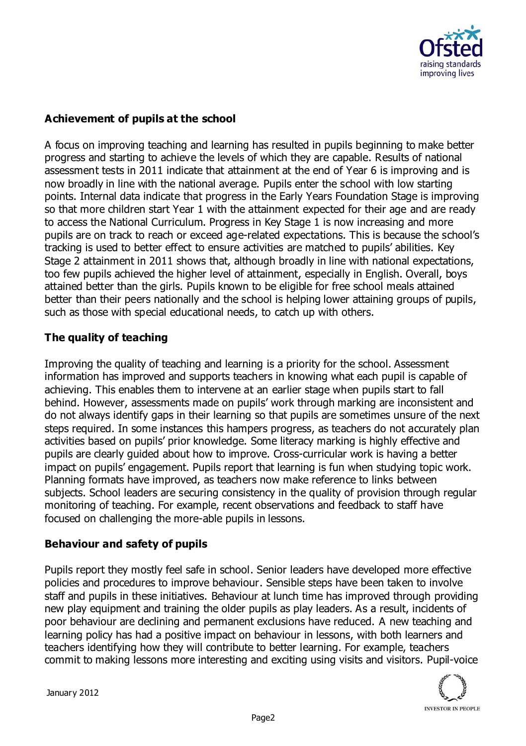

## **Achievement of pupils at the school**

A focus on improving teaching and learning has resulted in pupils beginning to make better progress and starting to achieve the levels of which they are capable. Results of national assessment tests in 2011 indicate that attainment at the end of Year 6 is improving and is now broadly in line with the national average. Pupils enter the school with low starting points. Internal data indicate that progress in the Early Years Foundation Stage is improving so that more children start Year 1 with the attainment expected for their age and are ready to access the National Curriculum. Progress in Key Stage 1 is now increasing and more pupils are on track to reach or exceed age-related expectations. This is because the school's tracking is used to better effect to ensure activities are matched to pupils' abilities. Key Stage 2 attainment in 2011 shows that, although broadly in line with national expectations, too few pupils achieved the higher level of attainment, especially in English. Overall, boys attained better than the girls. Pupils known to be eligible for free school meals attained better than their peers nationally and the school is helping lower attaining groups of pupils, such as those with special educational needs, to catch up with others.

### **The quality of teaching**

Improving the quality of teaching and learning is a priority for the school. Assessment information has improved and supports teachers in knowing what each pupil is capable of achieving. This enables them to intervene at an earlier stage when pupils start to fall behind. However, assessments made on pupils' work through marking are inconsistent and do not always identify gaps in their learning so that pupils are sometimes unsure of the next steps required. In some instances this hampers progress, as teachers do not accurately plan activities based on pupils' prior knowledge. Some literacy marking is highly effective and pupils are clearly guided about how to improve. Cross-curricular work is having a better impact on pupils' engagement. Pupils report that learning is fun when studying topic work. Planning formats have improved, as teachers now make reference to links between subjects. School leaders are securing consistency in the quality of provision through regular monitoring of teaching. For example, recent observations and feedback to staff have focused on challenging the more-able pupils in lessons.

### **Behaviour and safety of pupils**

Pupils report they mostly feel safe in school. Senior leaders have developed more effective policies and procedures to improve behaviour. Sensible steps have been taken to involve staff and pupils in these initiatives. Behaviour at lunch time has improved through providing new play equipment and training the older pupils as play leaders. As a result, incidents of poor behaviour are declining and permanent exclusions have reduced. A new teaching and learning policy has had a positive impact on behaviour in lessons, with both learners and teachers identifying how they will contribute to better learning. For example, teachers commit to making lessons more interesting and exciting using visits and visitors. Pupil-voice



January 2012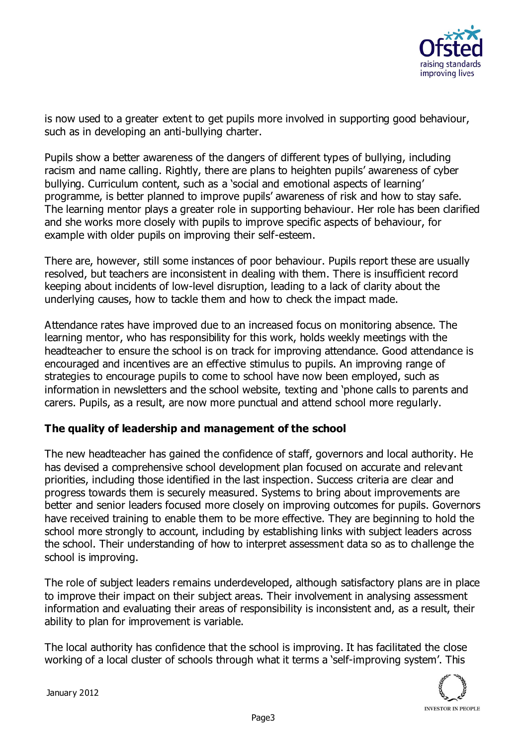

is now used to a greater extent to get pupils more involved in supporting good behaviour, such as in developing an anti-bullying charter.

Pupils show a better awareness of the dangers of different types of bullying, including racism and name calling. Rightly, there are plans to heighten pupils' awareness of cyber bullying. Curriculum content, such as a 'social and emotional aspects of learning' programme, is better planned to improve pupils' awareness of risk and how to stay safe. The learning mentor plays a greater role in supporting behaviour. Her role has been clarified and she works more closely with pupils to improve specific aspects of behaviour, for example with older pupils on improving their self-esteem.

There are, however, still some instances of poor behaviour. Pupils report these are usually resolved, but teachers are inconsistent in dealing with them. There is insufficient record keeping about incidents of low-level disruption, leading to a lack of clarity about the underlying causes, how to tackle them and how to check the impact made.

Attendance rates have improved due to an increased focus on monitoring absence. The learning mentor, who has responsibility for this work, holds weekly meetings with the headteacher to ensure the school is on track for improving attendance. Good attendance is encouraged and incentives are an effective stimulus to pupils. An improving range of strategies to encourage pupils to come to school have now been employed, such as information in newsletters and the school website, texting and 'phone calls to parents and carers. Pupils, as a result, are now more punctual and attend school more regularly.

### **The quality of leadership and management of the school**

The new headteacher has gained the confidence of staff, governors and local authority. He has devised a comprehensive school development plan focused on accurate and relevant priorities, including those identified in the last inspection. Success criteria are clear and progress towards them is securely measured. Systems to bring about improvements are better and senior leaders focused more closely on improving outcomes for pupils. Governors have received training to enable them to be more effective. They are beginning to hold the school more strongly to account, including by establishing links with subject leaders across the school. Their understanding of how to interpret assessment data so as to challenge the school is improving.

The role of subject leaders remains underdeveloped, although satisfactory plans are in place to improve their impact on their subject areas. Their involvement in analysing assessment information and evaluating their areas of responsibility is inconsistent and, as a result, their ability to plan for improvement is variable.

The local authority has confidence that the school is improving. It has facilitated the close working of a local cluster of schools through what it terms a 'self-improving system'. This

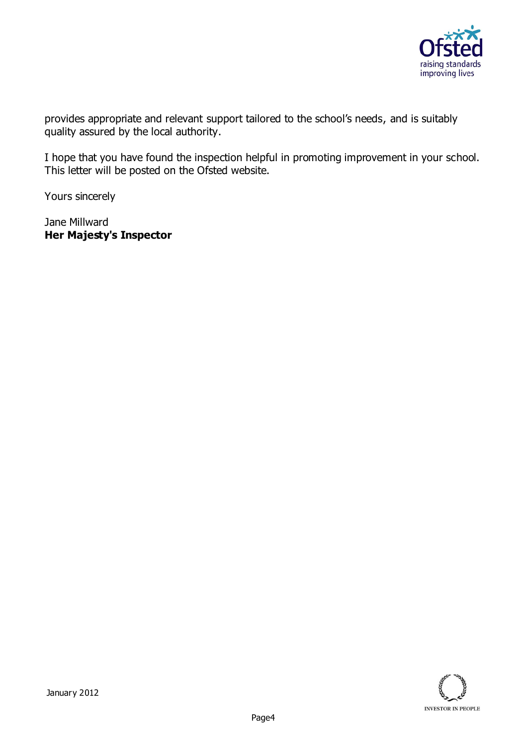

provides appropriate and relevant support tailored to the school's needs, and is suitably quality assured by the local authority.

I hope that you have found the inspection helpful in promoting improvement in your school. This letter will be posted on the Ofsted website.

Yours sincerely

Jane Millward **Her Majesty's Inspector**